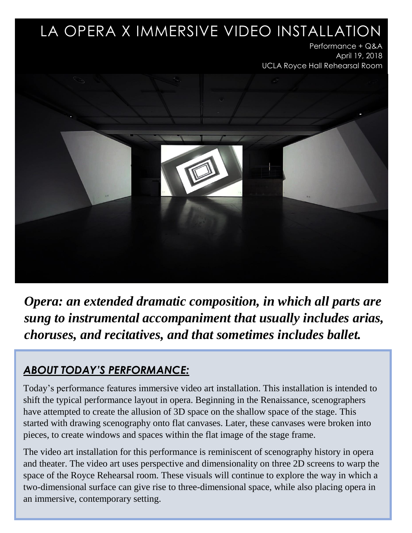## LA OPERA X IMMERSIVE VIDEO INSTALLATION

 Performance + Q&A April 19, 2018 UCLA Royce Hall Rehearsal Room



*Opera: an extended dramatic composition, in which all parts are sung to instrumental accompaniment that usually includes arias, choruses, and recitatives, and that sometimes includes ballet.*

## *ABOUT TODAY'S PERFORMANCE:*

Today's performance features immersive video art installation. This installation is intended to shift the typical performance layout in opera. Beginning in the Renaissance, scenographers have attempted to create the allusion of 3D space on the shallow space of the stage. This started with drawing scenography onto flat canvases. Later, these canvases were broken into pieces, to create windows and spaces within the flat image of the stage frame.

The video art installation for this performance is reminiscent of scenography history in opera and theater. The video art uses perspective and dimensionality on three 2D screens to warp the space of the Royce Rehearsal room. These visuals will continue to explore the way in which a two-dimensional surface can give rise to three-dimensional space, while also placing opera in an immersive, contemporary setting.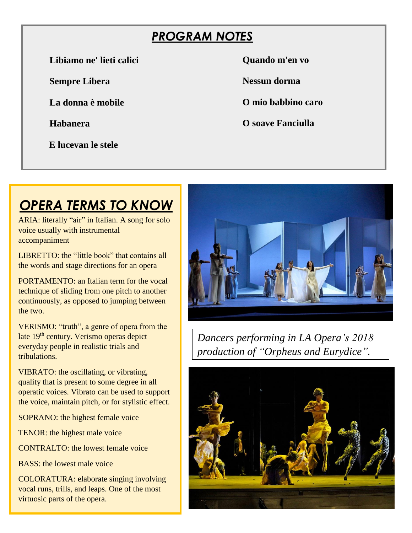## *PROGRAM NOTES*

**Libiamo ne' lieti calici**

**Sempre Libera** 

**La donna è mobile**

**Habanera**

 **E lucevan le stele** 

**Quando m'en vo** 

**Nessun dorma** 

**O mio babbino caro** 

**O soave Fanciulla** 

# *OPERA TERMS TO KNOW*

ARIA: literally "air" in Italian. A song for solo voice usually with instrumental accompaniment

LIBRETTO: the "little book" that contains all the words and stage directions for an opera

PORTAMENTO: an Italian term for the vocal technique of sliding from one pitch to another continuously, as opposed to jumping between the two.

VERISMO: "truth", a genre of opera from the late 19<sup>th</sup> century. Verismo operas depict everyday people in realistic trials and tribulations.

VIBRATO: the oscillating, or vibrating, quality that is present to some degree in all operatic voices. Vibrato can be used to support the voice, maintain pitch, or for stylistic effect.

SOPRANO: the highest female voice

TENOR: the highest male voice

CONTRALTO: the lowest female voice

BASS: the lowest male voice

COLORATURA: elaborate singing involving vocal runs, trills, and leaps. One of the most virtuosic parts of the opera.



*Dancers performing in LA Opera's 2018 production of "Orpheus and Eurydice".* 

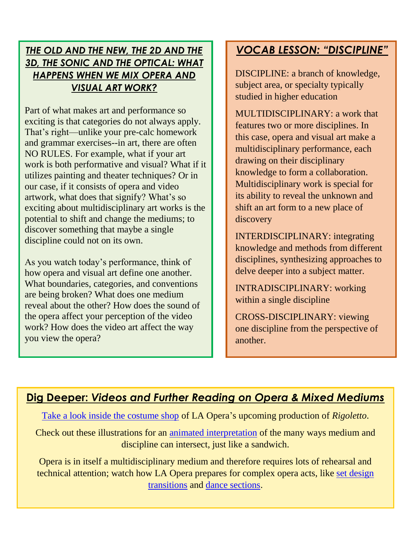#### *THE OLD AND THE NEW, THE 2D AND THE 3D, THE SONIC AND THE OPTICAL: WHAT HAPPENS WHEN WE MIX OPERA AND VISUAL ART WORK?*

Part of what makes art and performance so exciting is that categories do not always apply. That's right—unlike your pre-calc homework and grammar exercises--in art, there are often NO RULES. For example, what if your art work is both performative and visual? What if it utilizes painting and theater techniques? Or in our case, if it consists of opera and video artwork, what does that signify? What's so exciting about multidisciplinary art works is the potential to shift and change the mediums; to discover something that maybe a single discipline could not on its own.

As you watch today's performance, think of how opera and visual art define one another. What boundaries, categories, and conventions are being broken? What does one medium reveal about the other? How does the sound of the opera affect your perception of the video work? How does the video art affect the way you view the opera?

## *VOCAB LESSON: "DISCIPLINE"*

DISCIPLINE: a branch of knowledge, subject area, or specialty typically studied in higher education

MULTIDISCIPLINARY: a work that features two or more disciplines. In this case, opera and visual art make a multidisciplinary performance, each drawing on their disciplinary knowledge to form a collaboration. Multidisciplinary work is special for its ability to reveal the unknown and shift an art form to a new place of discovery

INTERDISCIPLINARY: integrating knowledge and methods from different disciplines, synthesizing approaches to delve deeper into a subject matter.

INTRADISCIPLINARY: working within a single discipline

CROSS-DISCIPLINARY: viewing one discipline from the perspective of another.

### **Dig Deeper:** *Videos and Further Reading on Opera & Mixed Mediums*

[Take a look inside the costume shop](https://blog.laopera.org/inside-the-costume-shop-rigoletto/) of LA Opera's upcoming production of *Rigoletto*.

Check out these illustrations for an [animated interpretation](https://dgillart.wordpress.com/2013/08/26/define-your-discipline/) of the many ways medium and discipline can intersect, just like a sandwich.

Opera is in itself a multidisciplinary medium and therefore requires lots of rehearsal and technical attention; watch how LA Opera prepares for complex opera acts, like [set design](https://www.youtube.com/watch?v=qJEg08yItWQ&index=30&list=PLk_LniPg-RN4yCfPPR3a0a1IE9ed2ilnd)  [transitions](https://www.youtube.com/watch?v=qJEg08yItWQ&index=30&list=PLk_LniPg-RN4yCfPPR3a0a1IE9ed2ilnd) and [dance sections.](https://www.youtube.com/watch?v=NOEuBUdfQ5g&list=PLk_LniPg-RN4yCfPPR3a0a1IE9ed2ilnd&index=42)